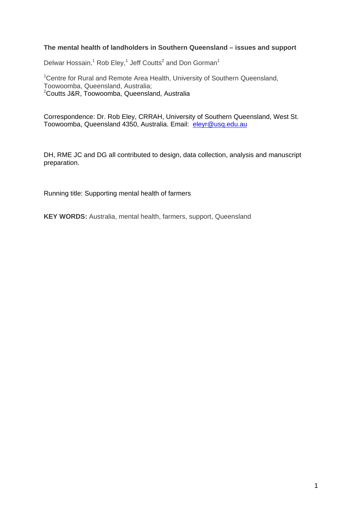### **The mental health of landholders in Southern Queensland – issues and support**

Delwar Hossain,<sup>1</sup> Rob Eley,<sup>1</sup> Jeff Coutts<sup>2</sup> and Don Gorman<sup>1</sup>

<sup>1</sup> Centre for Rural and Remote Area Health, University of Southern Queensland, Toowoomba, Queensland, Australia; <sup>2</sup>Coutts J&R, Toowoomba, Queensland, Australia

Correspondence: Dr. Rob Eley, CRRAH, University of Southern Queensland, West St. Toowoomba, Queensland 4350, Australia. Email: [eleyr@usq.edu.au](mailto:eleyr@usq.edu.au)

DH, RME JC and DG all contributed to design, data collection, analysis and manuscript preparation.

Running title: Supporting mental health of farmers

**KEY WORDS:** Australia, mental health, farmers, support, Queensland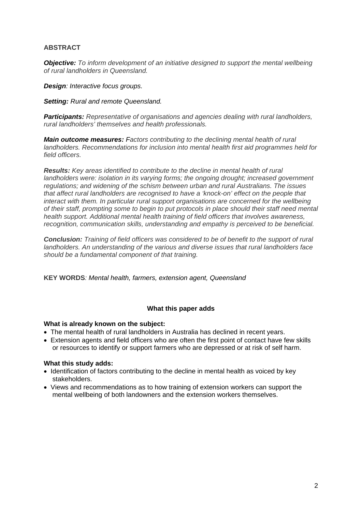## **ABSTRACT**

*[Objective:](http://rrh.deakin.edu.au/articles/showarticlenew.asp?ArticleID=266#intro#intro) To inform development of an initiative designed to support the mental wellbeing of rural landholders in Queensland.* 

*Design: Interactive focus groups.* 

#### *Setting: Rural and remote Queensland.*

*[Participants:](http://rrh.deakin.edu.au/articles/showarticlenew.asp?ArticleID=266#methods#methods) Representative of organisations and agencies dealing with rural landholders, rural landholders' themselves and health professionals.* 

*Main outcome measures: Factors contributing to the declining mental health of rural landholders. Recommendations for inclusion into mental health first aid programmes held for field officers.* 

*Results: Key areas identified to contribute to the decline in mental health of rural landholders were: isolation in its varying forms; the ongoing drought; increased government regulations; and widening of the schism between urban and rural Australians. The issues that affect rural landholders are recognised to have a 'knock-on' effect on the people that interact with them. In particular rural support organisations are concerned for the wellbeing of their staff, prompting some to begin to put protocols in place should their staff need mental health support. Additional mental health training of field officers that involves awareness, recognition, communication skills, understanding and empathy is perceived to be beneficial.* 

*Conclusion: Training of field officers was considered to be of benefit to the support of rural landholders. An understanding of the various and diverse issues that rural landholders face should be a fundamental component of that training.*

**KEY WORDS***: Mental health, farmers, extension agent, Queensland* 

## **What this paper adds**

#### **What is already known on the subject:**

- The mental health of rural landholders in Australia has declined in recent years.
- Extension agents and field officers who are often the first point of contact have few skills or resources to identify or support farmers who are depressed or at risk of self harm.

#### **What this study adds:**

- Identification of factors contributing to the decline in mental health as voiced by key stakeholders.
- Views and recommendations as to how training of extension workers can support the mental wellbeing of both landowners and the extension workers themselves.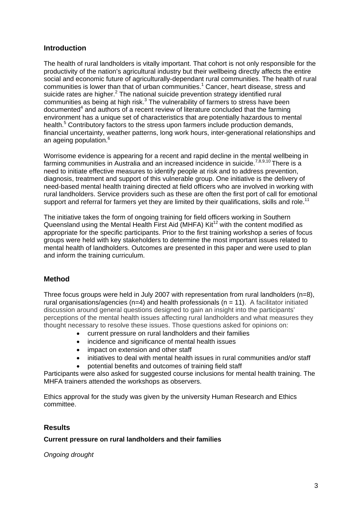# **Introduction**

The health of rural landholders is vitally important. That cohort is not only responsible for the productivity of the nation's agricultural industry but their wellbeing directly affects the entire social and economic future of agriculturally-dependant rural communities. The health of rural communities is lower than that of urban communities.<sup>1</sup> Cancer, heart disease, stress and suicide rates are higher. $<sup>2</sup>$  The national suicide prevention strategy identified rural</sup> communities as being at high risk. $3$  The vulnerability of farmers to stress have been documented<sup>4</sup> and authors of a recent review of literature concluded that the farming environment has a unique set of characteristics that are potentially hazardous to mental health.<sup>5</sup> Contributory factors to the stress upon farmers include production demands, financial uncertainty, weather patterns, long work hours, inter-generational relationships and an ageing population.<sup>6</sup>

Worrisome evidence is appearing for a recent and rapid decline in the mental wellbeing in farming communities in Australia and an increased incidence in suicide.<sup>7,8,9,10</sup> There is a need to initiate effective measures to identify people at risk and to address prevention, diagnosis, treatment and support of this vulnerable group. One initiative is the delivery of need-based mental health training directed at field officers who are involved in working with rural landholders. Service providers such as these are often the first port of call for emotional support and referral for farmers yet they are limited by their qualifications, skills and role.<sup>11</sup>

The initiative takes the form of ongoing training for field officers working in Southern Queensland using the Mental Health First Aid (MHFA) Kit<sup>12</sup> with the content modified as appropriate for the specific participants. Prior to the first training workshop a series of focus groups were held with key stakeholders to determine the most important issues related to mental health of landholders. Outcomes are presented in this paper and were used to plan and inform the training curriculum.

# **Method**

Three focus groups were held in July 2007 with representation from rural landholders ( $n=8$ ), rural organisations/agencies (n=4) and health professionals (n = 11). A facilitator initiated discussion around general questions designed to gain an insight into the participants' perceptions of the mental health issues affecting rural landholders and what measures they thought necessary to resolve these issues. Those questions asked for opinions on:

- current pressure on rural landholders and their families
- incidence and significance of mental health issues
- impact on extension and other staff
- initiatives to deal with mental health issues in rural communities and/or staff
- potential benefits and outcomes of training field staff

Participants were also asked for suggested course inclusions for mental health training. The MHFA trainers attended the workshops as observers.

Ethics approval for the study was given by the university Human Research and Ethics committee.

# **Results**

## **Current pressure on rural landholders and their families**

*Ongoing drought*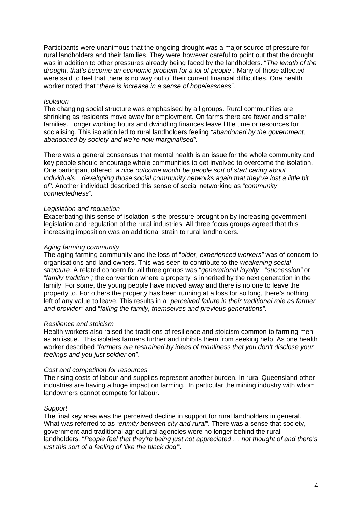Participants were unanimous that the ongoing drought was a major source of pressure for rural landholders and their families. They were however careful to point out that the drought was in addition to other pressures already being faced by the landholders. "*The length of the drought, that's become an economic problem for a lot of people".* Many of those affected were said to feel that there is no way out of their current financial difficulties. One health worker noted that "*there is increase in a sense of hopelessness"*.

#### *Isolation*

The changing social structure was emphasised by all groups. Rural communities are shrinking as residents move away for employment. On farms there are fewer and smaller families. Longer working hours and dwindling finances leave little time or resources for socialising. This isolation led to rural landholders feeling *"abandoned by the government, abandoned by society and we're now marginalised".* 

There was a general consensus that mental health is an issue for the whole community and key people should encourage whole communities to get involved to overcome the isolation. One participant offered "*a nice outcome would be people sort of start caring about individuals…developing those social community networks again that they've lost a little bit of".* Another individual described this sense of social networking as "*community connectedness"*.

### *Legislation and regulation*

Exacerbating this sense of isolation is the pressure brought on by increasing government legislation and regulation of the rural industries. All three focus groups agreed that this increasing imposition was an additional strain to rural landholders.

### *Aging farming community*

The aging farming community and the loss of "*older, experienced workers"* was of concern to organisations and land owners. This was seen to contribute to the *weakening social structure*. A related concern for all three groups was "*generational loyalty"*, "*succession"* or "*family tradition";* the convention where a property is inherited by the next generation in the family. For some, the young people have moved away and there is no one to leave the property to. For others the property has been running at a loss for so long, there's nothing left of any value to leave. This results in a "*perceived failure in their traditional role as farmer and provider"* and "*failing the family, themselves and previous generations"*.

#### *Resilience and stoicism*

Health workers also raised the traditions of resilience and stoicism common to farming men as an issue. This isolates farmers further and inhibits them from seeking help. As one health worker described "*farmers are restrained by ideas of manliness that you don't disclose your feelings and you just soldier on"*.

#### *Cost and competition for resources*

The rising costs of labour and supplies represent another burden. In rural Queensland other industries are having a huge impact on farming. In particular the mining industry with whom landowners cannot compete for labour.

## *Support*

The final key area was the perceived decline in support for rural landholders in general. What was referred to as "*enmity between city and rural"*. There was a sense that society, government and traditional agricultural agencies were no longer behind the rural landholders. "*People feel that they're being just not appreciated … not thought of and there's just this sort of a feeling of 'like the black dog'".*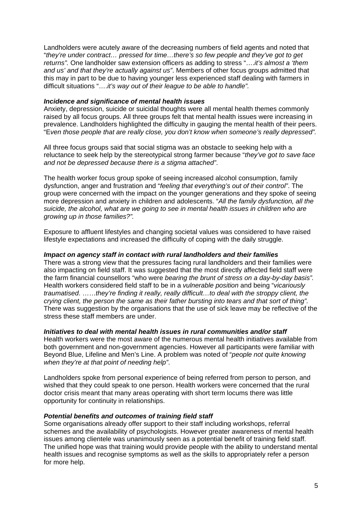Landholders were acutely aware of the decreasing numbers of field agents and noted that "*they're under contract… pressed for time…there's so few people and they've got to get returns".* One landholder saw extension officers as adding to stress "….*it's almost a 'them and us' and that they're actually against us"*. Members of other focus groups admitted that this may in part to be due to having younger less experienced staff dealing with farmers in difficult situations "….*it's way out of their league to be able to handle".*

### *Incidence and significance of mental health issues*

Anxiety, depression, suicide or suicidal thoughts were all mental health themes commonly raised by all focus groups. All three groups felt that mental health issues were increasing in prevalence. Landholders highlighted the difficulty in gauging the mental health of their peers. "E*ven those people that are really close, you don't know when someone's really depressed".*

All three focus groups said that social stigma was an obstacle to seeking help with a reluctance to seek help by the stereotypical strong farmer because "*they've got to save face and not be depressed because there is a stigma attached"*.

The health worker focus group spoke of seeing increased alcohol consumption, family dysfunction, anger and frustration and "*feeling that everything's out of their control"*. The group were concerned with the impact on the younger generations and they spoke of seeing more depression and anxiety in children and adolescents. "*All the family dysfunction, all the suicide, the alcohol, what are we going to see in mental health issues in children who are growing up in those families?".*

Exposure to affluent lifestyles and changing societal values was considered to have raised lifestyle expectations and increased the difficulty of coping with the daily struggle.

### *Impact on agency staff in contact with rural landholders and their families*

There was a strong view that the pressures facing rural landholders and their families were also impacting on field staff. It was suggested that the most directly affected field staff were the farm financial counsellors "who were *bearing the brunt of stress on a day-by-day basis".*  Health workers considered field staff to be in a *vulnerable position* and being "*vicariously traumatised*. ……*they're finding it really, really difficult…to deal with the stroppy client, the crying client, the person the same as their father bursting into tears and that sort of thing".* There was suggestion by the organisations that the use of sick leave may be reflective of the stress these staff members are under.

## *Initiatives to deal with mental health issues in rural communities and/or staff*

Health workers were the most aware of the numerous mental health initiatives available from both government and non-government agencies. However all participants were familiar with Beyond Blue, Lifeline and Men's Line. A problem was noted of "*people not quite knowing when they're at that point of needing help"*.

Landholders spoke from personal experience of being referred from person to person, and wished that they could speak to one person. Health workers were concerned that the rural doctor crisis meant that many areas operating with short term locums there was little opportunity for continuity in relationships.

#### *Potential benefits and outcomes of training field staff*

Some organisations already offer support to their staff including workshops, referral schemes and the availability of psychologists. However greater awareness of mental health issues among clientele was unanimously seen as a potential benefit of training field staff. The unified hope was that training would provide people with the ability to understand mental health issues and recognise symptoms as well as the skills to appropriately refer a person for more help.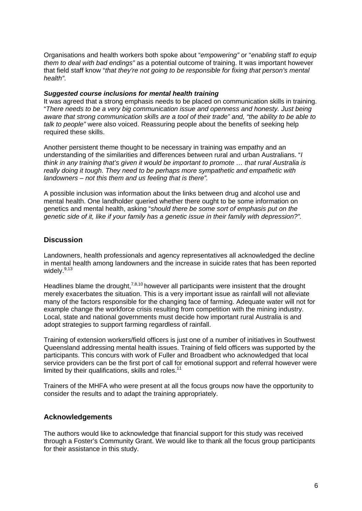Organisations and health workers both spoke about "*empowering"* or "*enabling* staff *to equip them to deal with bad endings"* as a potential outcome of training. It was important however that field staff know "*that they're not going to be responsible for fixing that person's mental health"*.

#### *Suggested course inclusions for mental health training*

It was agreed that a strong emphasis needs to be placed on communication skills in training. "*There needs to be a very big communication issue and openness and honesty. Just being aware that strong communication skills are a tool of their trade" and, "the ability to be able to talk to people"* were also voiced. Reassuring people about the benefits of seeking help required these skills.

Another persistent theme thought to be necessary in training was empathy and an understanding of the similarities and differences between rural and urban Australians. "*I think in any training that's given it would be important to promote … that rural Australia is really doing it tough. They need to be perhaps more sympathetic and empathetic with landowners – not this them and us feeling that is there".*

A possible inclusion was information about the links between drug and alcohol use and mental health. One landholder queried whether there ought to be some information on genetics and mental health, asking "*should there be some sort of emphasis put on the genetic side of it, like if your family has a genetic issue in their family with depression?".*

# **Discussion**

Landowners, health professionals and agency representatives all acknowledged the decline in mental health among landowners and the increase in suicide rates that has been reported widely. $9,13$ 

Headlines blame the drought,  $7,8,10$  however all participants were insistent that the drought merely exacerbates the situation. This is a very important issue as rainfall will not alleviate many of the factors responsible for the changing face of farming. Adequate water will not for example change the workforce crisis resulting from competition with the mining industry. Local, state and national governments must decide how important rural Australia is and adopt strategies to support farming regardless of rainfall.

Training of extension workers/field officers is just one of a number of initiatives in Southwest Queensland addressing mental health issues. Training of field officers was supported by the participants. This concurs with work of Fuller and Broadbent who acknowledged that local service providers can be the first port of call for emotional support and referral however were limited by their qualifications, skills and roles. $11$ 

Trainers of the MHFA who were present at all the focus groups now have the opportunity to consider the results and to adapt the training appropriately.

## **Acknowledgements**

The authors would like to acknowledge that financial support for this study was received through a Foster's Community Grant. We would like to thank all the focus group participants for their assistance in this study.